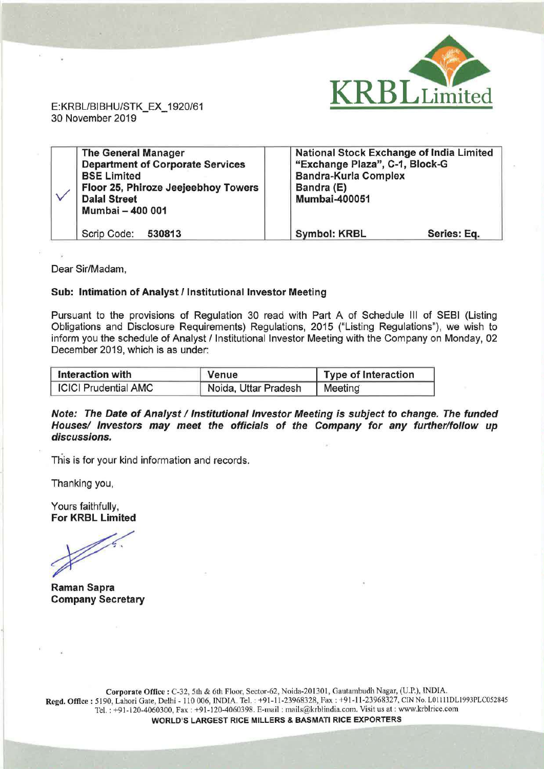

E:KRBL/BIBHU/STK\_EX\_ 1920/61 30 November 2019

|  | <b>The General Manager</b><br><b>Department of Corporate Services</b><br><b>BSE Limited</b><br>Floor 25, Phiroze Jeejeebhoy Towers<br><b>Dalal Street</b> | <b>National Stock Exchange of India Limited</b><br>"Exchange Plaza", C-1, Block-G<br><b>Bandra-Kurla Complex</b><br>Bandra (E)<br><b>Mumbai-400051</b> |             |
|--|-----------------------------------------------------------------------------------------------------------------------------------------------------------|--------------------------------------------------------------------------------------------------------------------------------------------------------|-------------|
|  | Mumbai - 400 001<br>Scrip Code:<br>530813                                                                                                                 | <b>Symbol: KRBL</b>                                                                                                                                    | Series: Eq. |

Dear Sir/Madam,

## Sub: Intimation of Analyst/ Institutional Investor Meeting

Pursuant to the provisions of Regulation 30 read with Part A of Schedule Ill of SEBI (Listing Obligations and Disclosure Requirements) Regulations, 2015 ("Listing Regulations"), we wish to inform you the schedule of Analyst / Institutional Investor Meeting with the Company on Monday, 02 December 2019, which is as under:

| Interaction with            | Venue                | Type of Interaction |
|-----------------------------|----------------------|---------------------|
| <b>ICICI Prudential AMC</b> | Noida, Uttar Pradesh | Meeting             |

Note: The Date of Analyst / Institutional Investor Meeting is subject to change. The funded Houses/ Investors may meet the officials of the Company for any further/follow up discussions.

This is for your kind information and records.

Thanking you,

Yours faithfully, For KRBL Limited

Raman Sapra Company Secretary